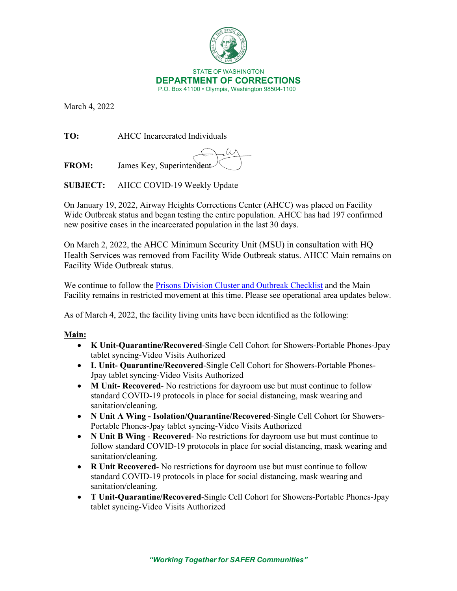

March 4, 2022

**TO:** AHCC Incarcerated Individuals

**FROM:** James Key, Superintendent

**SUBJECT:** AHCC COVID-19 Weekly Update

On January 19, 2022, Airway Heights Corrections Center (AHCC) was placed on Facility Wide Outbreak status and began testing the entire population. AHCC has had 197 confirmed new positive cases in the incarcerated population in the last 30 days.

On March 2, 2022, the AHCC Minimum Security Unit (MSU) in consultation with HQ Health Services was removed from Facility Wide Outbreak status. AHCC Main remains on Facility Wide Outbreak status.

We continue to follow the [Prisons Division Cluster and Outbreak Checklist](https://doc.wa.gov/corrections/covid-19/docs/outbreak-checklist.pdf) and the Main Facility remains in restricted movement at this time. Please see operational area updates below.

As of March 4, 2022, the facility living units have been identified as the following:

# **Main:**

- **K Unit-Quarantine/Recovered**-Single Cell Cohort for Showers-Portable Phones-Jpay tablet syncing-Video Visits Authorized
- **L Unit- Quarantine/Recovered**-Single Cell Cohort for Showers-Portable Phones-Jpay tablet syncing-Video Visits Authorized
- **M Unit- Recovered** No restrictions for dayroom use but must continue to follow standard COVID-19 protocols in place for social distancing, mask wearing and sanitation/cleaning.
- **N Unit A Wing Isolation/Quarantine/Recovered**-Single Cell Cohort for Showers-Portable Phones-Jpay tablet syncing-Video Visits Authorized
- **N Unit B Wing Recovered** No restrictions for dayroom use but must continue to follow standard COVID-19 protocols in place for social distancing, mask wearing and sanitation/cleaning.
- **R Unit Recovered** No restrictions for dayroom use but must continue to follow standard COVID-19 protocols in place for social distancing, mask wearing and sanitation/cleaning.
- **T Unit-Quarantine/Recovered**-Single Cell Cohort for Showers-Portable Phones-Jpay tablet syncing-Video Visits Authorized